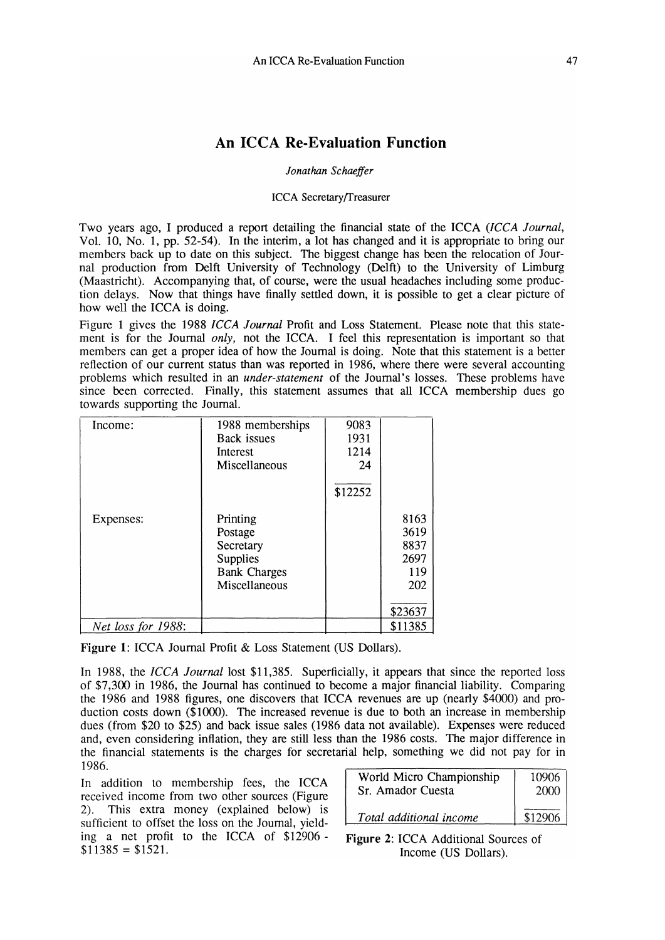# **An ICCA Re-Evaluation Function**

### *Jonathan Schaeffer*

#### ICCA Secretary{freasurer

Two years ago, I produced a report detailing the financial state of the ICCA *(lCCA Journal,*  Vol. 10, No.1, pp. 52-54). In the interim, a lot has changed and it is appropriate to bring our members back up to date on this subject. The biggest change has been the relocation of Journal production from Delft University of Technology (Delft) to the University of Limburg (Maastricht). Accompanying that, of course, were the usual headaches including some production delays. Now that things have finally settled down, it is possible to get a clear picture of how well the ICCA is doing.

Figure 1 gives the 1988 *ICCA Journal* Profit and Loss Statement. Please note that this statement is for the Journal *only,* not the ICCA. I feel this representation is important so that members can get a proper idea of how the Journal is doing. Note that this statement is a better reflection of our current status than was reported in 1986, where there were several accounting problems which resulted in an *under-statement* of the Journal's losses. These problems have since been corrected. Finally, this statement assumes that all ICCA membership dues go towards supporting the Journal.

| Income:            | 1988 memberships    | 9083    |         |
|--------------------|---------------------|---------|---------|
|                    | Back issues         | 1931    |         |
|                    | Interest            | 1214    |         |
|                    | Miscellaneous       | 24      |         |
|                    |                     | \$12252 |         |
| Expenses:          | Printing            |         | 8163    |
|                    | Postage             |         | 3619    |
|                    | Secretary           |         | 8837    |
|                    | <b>Supplies</b>     |         | 2697    |
|                    | <b>Bank Charges</b> |         | 119     |
|                    | Miscellaneous       |         | 202     |
|                    |                     |         | \$23637 |
| Net loss for 1988: |                     |         | \$11385 |

Figure 1: ICCA Journal Profit & Loss Statement (US Dollars).

In 1988, the *ICCA Journal* lost \$11,385. Superficially, it appears that since the reported loss of \$7,300 in 1986, the Journal has continued to become a major financial liability. Comparing the 1986 and 1988 figures, one discovers that ICCA revenues are up (nearly \$4000) and production costs down (\$1000). The increased revenue is due to both an increase in membership dues (from \$20 to \$25) and back issue sales (1986 data not available). Expenses were reduced and, even considering inflation, they are still less than the 1986 costs. The major difference in the financial statements is the charges for secretarial help, something we did not pay for in 1986.

In addition to membership fees, the ICCA received income from two other sources (Figure 2). This extra money (explained below) is sufficient to offset the loss on the Journal, yielding a net profit to the ICCA of \$12906-  $$11385 = $1521$ .

| World Micro Championship | 10906   |
|--------------------------|---------|
| Sr. Amador Cuesta        | 2000    |
| Total additional income  | \$12906 |

Figure 2: ICCA Additional Sources of Income (US Dollars).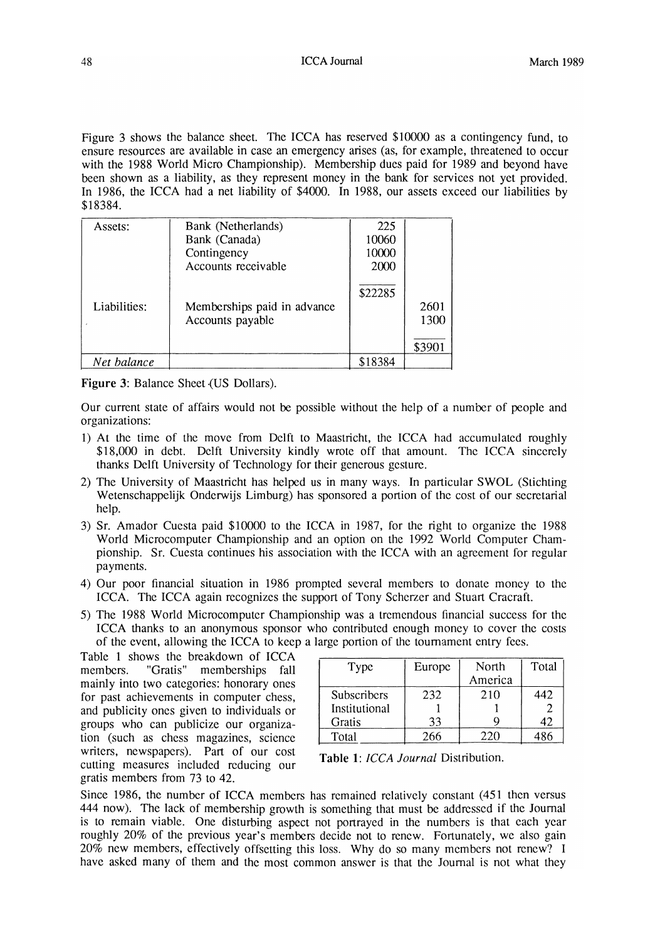Figure 3 shows the balance sheet. The ICCA has reserved \$10000 as a contingency fund, to ensure resources are available in case an emergency arises (as, for example, threatened to occur with the 1988 World Micro Championship). Membership dues paid for 1989 and beyond have been shown as a liability, as they represent money in the bank for services not yet provided. In 1986, the ICCA had a net liability of \$4000. In 1988, our assets exceed our liabilities by \$18384.

| Assets:      | Bank (Netherlands)          | 225     |        |
|--------------|-----------------------------|---------|--------|
|              | Bank (Canada)               | 10060   |        |
|              | Contingency                 | 10000   |        |
|              | Accounts receivable         | 2000    |        |
|              |                             | \$22285 |        |
| Liabilities: | Memberships paid in advance |         | 2601   |
|              | Accounts payable            |         | 1300   |
|              |                             |         | \$3901 |
| Net balance  |                             | \$18384 |        |

**Figure** 3: Balance Sheet (US Dollars).

Our current state of affairs would not be possible without the help of a number of people and organizations:

- 1) At the time of the move from Delft to Maastricht, the ICCA had accumulated roughly \$18,000 in debt. Delft University kindly wrote off that amount. The ICCA sincerely thanks Delft University of Technology for their generous gesture.
- 2) The University of Maastricht has helped us in many ways. In particular SWOL (Stichting Wetenschappelijk Onderwijs Limburg) has sponsored a portion of the cost of our secretarial help.
- 3) Sr. Amador Cuesta paid \$10000 to the ICCA in 1987, for the right to organize the 1988 World Microcomputer Championship and an option on the 1992 World Computer Championship. Sr. Cuesta continues his association with the ICCA with an agreement for regular payments.
- 4) Our poor financial situation in 1986 prompted several members to donate money to the ICCA. The ICCA again recognizes the support of Tony Scherzer and Stuart Cracraft.
- 5) The 1988 World Microcomputer Championship was a tremendous financial success for the ICCA thanks to an anonymous sponsor who contributed enough money to cover the costs of the event, allowing the ICCA to keep a large portion of the tournament entry fees.

Table 1 shows the breakdown of ICCA members. "Gratis" memberships fall mainly into two categories: honorary ones for past achievements in computer chess, and publicity ones given to individuals or groups who can publicize our organization (such as chess magazines, science writers, newspapers). Part of our cost cutting measures included reducing our gratis members from 73 to 42.

| Type               | Europe | North   | Total |
|--------------------|--------|---------|-------|
|                    |        | America |       |
| <b>Subscribers</b> | 232    | 210     | 442   |
| Institutional      |        |         |       |
| Gratis             | 33     |         | 42    |
| Total              | ,66    | 220     |       |

**Table 1:** *ICCA Journal* Distribution.

Since 1986, the number of ICCA members has remained relatively constant (451 then versus 444 now). The lack of membership growth is something that must be addressed if the Journal is to remain viable. One disturbing aspect not portrayed in the numbers is that each year roughly 20% of the previous year's members decide not to renew. Fortunately, we also gain 20% new members, effectively offsetting this loss. Why do so many members not renew? I have asked many of them and the most common answer is that the Journal is not what they